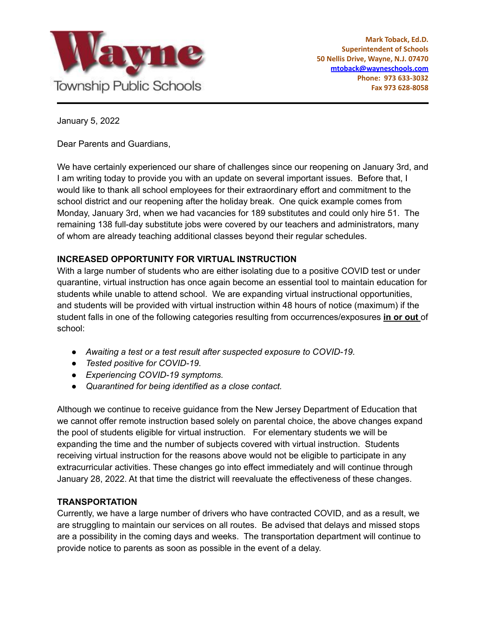

January 5, 2022

Dear Parents and Guardians,

We have certainly experienced our share of challenges since our reopening on January 3rd, and I am writing today to provide you with an update on several important issues. Before that, I would like to thank all school employees for their extraordinary effort and commitment to the school district and our reopening after the holiday break. One quick example comes from Monday, January 3rd, when we had vacancies for 189 substitutes and could only hire 51. The remaining 138 full-day substitute jobs were covered by our teachers and administrators, many of whom are already teaching additional classes beyond their regular schedules.

# **INCREASED OPPORTUNITY FOR VIRTUAL INSTRUCTION**

With a large number of students who are either isolating due to a positive COVID test or under quarantine, virtual instruction has once again become an essential tool to maintain education for students while unable to attend school. We are expanding virtual instructional opportunities, and students will be provided with virtual instruction within 48 hours of notice (maximum) if the student falls in one of the following categories resulting from occurrences/exposures **in or out** of school:

- *● Awaiting a test or a test result after suspected exposure to COVID-19.*
- *● Tested positive for COVID-19.*
- *● Experiencing COVID-19 symptoms.*
- *● Quarantined for being identified as a close contact.*

Although we continue to receive guidance from the New Jersey Department of Education that we cannot offer remote instruction based solely on parental choice, the above changes expand the pool of students eligible for virtual instruction. For elementary students we will be expanding the time and the number of subjects covered with virtual instruction. Students receiving virtual instruction for the reasons above would not be eligible to participate in any extracurricular activities. These changes go into effect immediately and will continue through January 28, 2022. At that time the district will reevaluate the effectiveness of these changes.

# **TRANSPORTATION**

Currently, we have a large number of drivers who have contracted COVID, and as a result, we are struggling to maintain our services on all routes. Be advised that delays and missed stops are a possibility in the coming days and weeks. The transportation department will continue to provide notice to parents as soon as possible in the event of a delay.